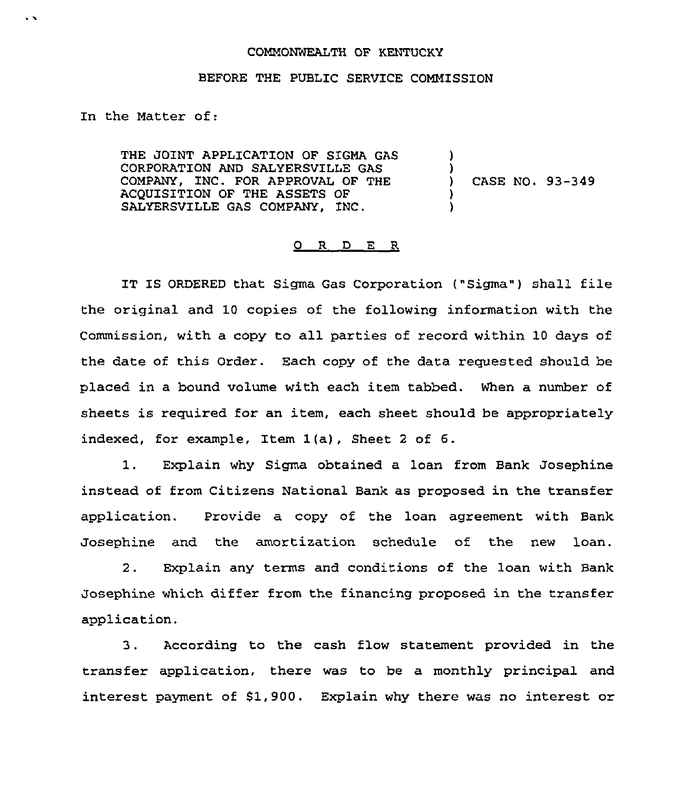## COMMONWEALTH OF KENTUCKY

## BEFORE THE PUBLIC SERVICE COMMISSION

In the Matter of:

 $\sim$ 

THE JOINT APPLICATION OF SIGMA GAS CORPORATION AND SALYERSVILLE GAS COMPANY, INC. FOR APPROVAL OF THE ACQUISITION OF THE ASSETS OF SALYERSVILLE GAS COMPANY, INC. ) ) ) CASE NO. 93-349 ) )

## O R D E R

IT IS ORDERED that Sigma Gas Corporation ("Sigma") shall file the original and 10 copies of the following information with the Commission, with a copy to all parties of record within 10 days of the date of this Order. Each copy of the data requested should be placed, in a bound volume with each item tabbed. When a number of sheets is required for an item, each sheet should be appropriately indexed, for example, Item 1(a), Sheet <sup>2</sup> of 6.

1. Explain why Sigma obtained a loan from Bank Josephine instead of from Citizens National Bank as proposed in the transfer application. Provide a copy of the loan agreement with Bank Josephine and the amortization schedule of the new loan.

2. Explain any terms and conditions of the loan with Bank Josephine which differ from the financing proposed in the transfer application.

3. According to the cash flow statement provided in the transfer application, there was to be a monthly principal and interest payment of \$1,900. Explain why there was no interest or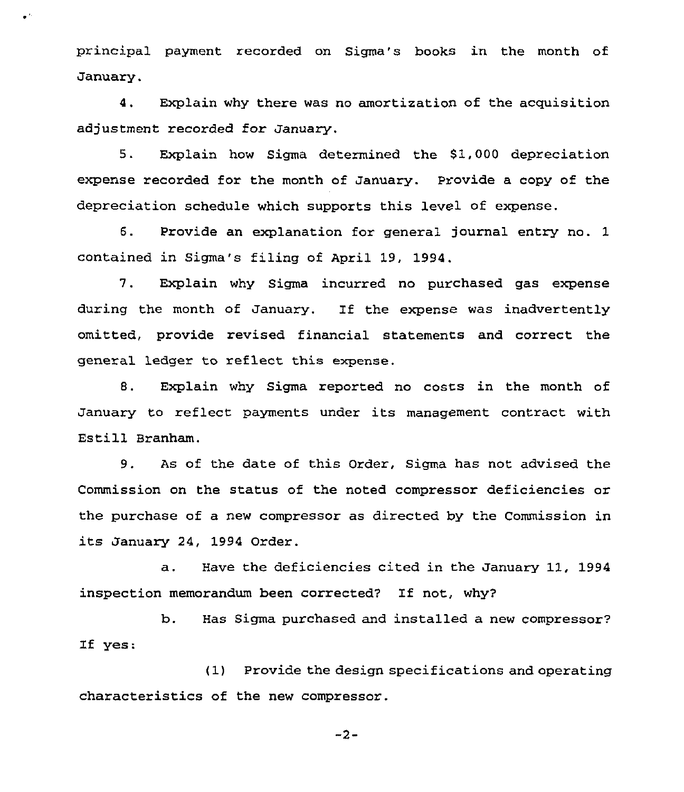principal payment recorded on Sigma's books in the month of January.

 $\bullet$   $^{\prime\prime}$ 

4. Explain why there was no amortization of the acquisition adjustment recorded for January.

5. Explain how Sigma determined the 61,000 depreciation expense recorded for the month of January. Provide a copy of the depreciation schedule which supports this level of expense.

6. Provide an explanation for general journal entry no. 1 contained in Sigma's filing of April 19, 1994.

7. Explain why Sigma incurred no purchased gas expense during the month of January. If the expense was inadvertently omitted, provide revised financial statements and correct the general ledger to reflect this expense.

8. Explain why Sigma reported no costs in the month of January to reflect payments under its management contract with Estill Branham.

9. As of the date of this Order, Sigma has not advised the Commission on the status of the noted compressor deficiencies or the purchase of a new compressor as directed by the Commission in its January 24, 1994 Order.

a. Have the deficiencies cited in the January 11, 1994 inspection memorandum been corrected'? If not, why?

b. Has Sigma purchased and installed a new compressor? If yes:

(1) Provide the design specifications and operating characteristics of the new compressor.

 $-2-$